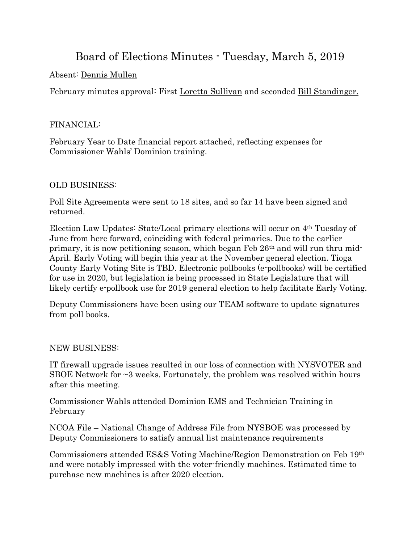# Board of Elections Minutes - Tuesday, March 5, 2019

## Absent: Dennis Mullen

February minutes approval: First Loretta Sullivan and seconded Bill Standinger.

#### FINANCIAL:

February Year to Date financial report attached, reflecting expenses for Commissioner Wahls' Dominion training.

### OLD BUSINESS:

Poll Site Agreements were sent to 18 sites, and so far 14 have been signed and returned.

Election Law Updates: State/Local primary elections will occur on 4th Tuesday of June from here forward, coinciding with federal primaries. Due to the earlier primary, it is now petitioning season, which began Feb 26th and will run thru mid-April. Early Voting will begin this year at the November general election. Tioga County Early Voting Site is TBD. Electronic pollbooks (e-pollbooks) will be certified for use in 2020, but legislation is being processed in State Legislature that will likely certify e-pollbook use for 2019 general election to help facilitate Early Voting.

Deputy Commissioners have been using our TEAM software to update signatures from poll books.

#### NEW BUSINESS:

IT firewall upgrade issues resulted in our loss of connection with NYSVOTER and SBOE Network for  $\sim$ 3 weeks. Fortunately, the problem was resolved within hours after this meeting.

Commissioner Wahls attended Dominion EMS and Technician Training in February

NCOA File – National Change of Address File from NYSBOE was processed by Deputy Commissioners to satisfy annual list maintenance requirements

Commissioners attended ES&S Voting Machine/Region Demonstration on Feb 19th and were notably impressed with the voter-friendly machines. Estimated time to purchase new machines is after 2020 election.